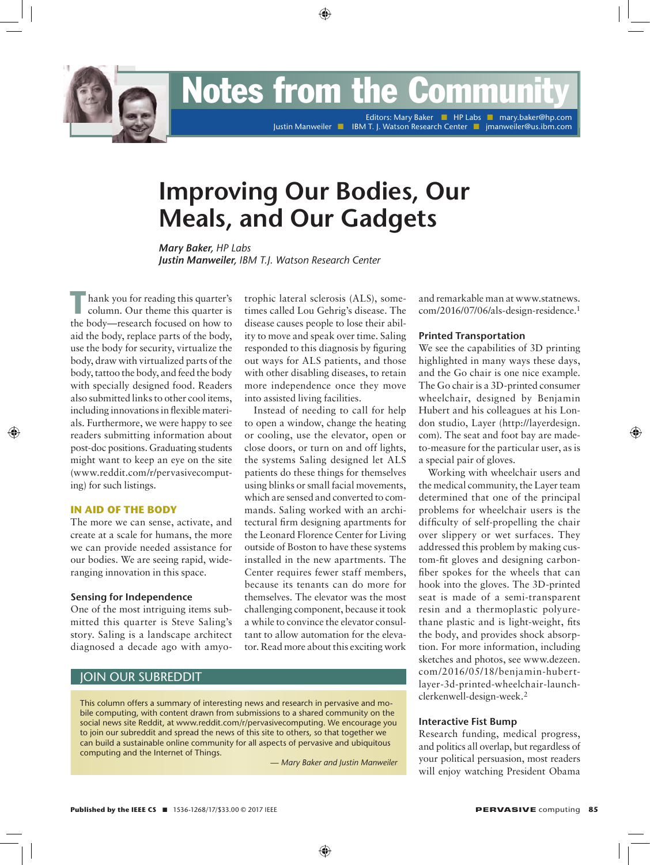**EDER INDUCES from the Community** 

Editors: Mary Baker **Name Here n editors: Mellon Dey n Editors: Mary Baker n HP Labs n mary.baker@hp.comu.edu** Justin Manweiler **n IBM T. J. Watson Research Center n II** jmanweiler@us.ibm.com

# **Improving Our Bodies, Our Meals, and Our Gadgets**

*Mary Baker, HP Labs Justin Manweiler, IBM T.J. Watson Research Center*

hank you for reading this quarter's column. Our theme this quarter is the body—research focused on how to aid the body, replace parts of the body, use the body for security, virtualize the body, draw with virtualized parts of the body, tattoo the body, and feed the body with specially designed food. Readers also submitted links to other cool items, including innovations in flexible materials. Furthermore, we were happy to see readers submitting information about post-doc positions. Graduating students might want to keep an eye on the site (www.reddit.com/r/pervasivecomputing) for such listings.

## **In Aid of the Body**

The more we can sense, activate, and create at a scale for humans, the more we can provide needed assistance for our bodies. We are seeing rapid, wideranging innovation in this space.

#### **Sensing for Independence**

One of the most intriguing items submitted this quarter is Steve Saling's story. Saling is a landscape architect diagnosed a decade ago with amyo-

trophic lateral sclerosis (ALS), sometimes called Lou Gehrig's disease. The disease causes people to lose their ability to move and speak over time. Saling responded to this diagnosis by figuring out ways for ALS patients, and those with other disabling diseases, to retain more independence once they move into assisted living facilities.

Instead of needing to call for help to open a window, change the heating or cooling, use the elevator, open or close doors, or turn on and off lights, the systems Saling designed let ALS patients do these things for themselves using blinks or small facial movements, which are sensed and converted to commands. Saling worked with an architectural firm designing apartments for the Leonard Florence Center for Living outside of Boston to have these systems installed in the new apartments. The Center requires fewer staff members, because its tenants can do more for themselves. The elevator was the most challenging component, because it took a while to convince the elevator consultant to allow automation for the elevator. Read more about this exciting work

## Join our Subreddit

This column offers a summary of interesting news and research in pervasive and mobile computing, with content drawn from submissions to a shared community on the social news site Reddit, at www.reddit.com/r/pervasivecomputing. We encourage you to join our subreddit and spread the news of this site to others, so that together we can build a sustainable online community for all aspects of pervasive and ubiquitous computing and the Internet of Things.

— *Mary Baker and Justin Manweiler*

and remarkable man at www.statnews. com/2016/07/06/als-design-residence.1

#### **Printed Transportation**

We see the capabilities of 3D printing highlighted in many ways these days, and the Go chair is one nice example. The Go chair is a 3D-printed consumer wheelchair, designed by Benjamin Hubert and his colleagues at his London studio, Layer (http://layerdesign. com). The seat and foot bay are madeto-measure for the particular user, as is a special pair of gloves.

Working with wheelchair users and the medical community, the Layer team determined that one of the principal problems for wheelchair users is the difficulty of self-propelling the chair over slippery or wet surfaces. They addressed this problem by making custom-fit gloves and designing carbonfiber spokes for the wheels that can hook into the gloves. The 3D-printed seat is made of a semi-transparent resin and a thermoplastic polyurethane plastic and is light-weight, fits the body, and provides shock absorption. For more information, including sketches and photos, see www.dezeen. com/2016/05/18/benjamin-hubertlayer-3d-printed-wheelchair-launchclerkenwell-design-week.2

#### **Interactive Fist Bump**

Research funding, medical progress, and politics all overlap, but regardless of your political persuasion, most readers will enjoy watching President Obama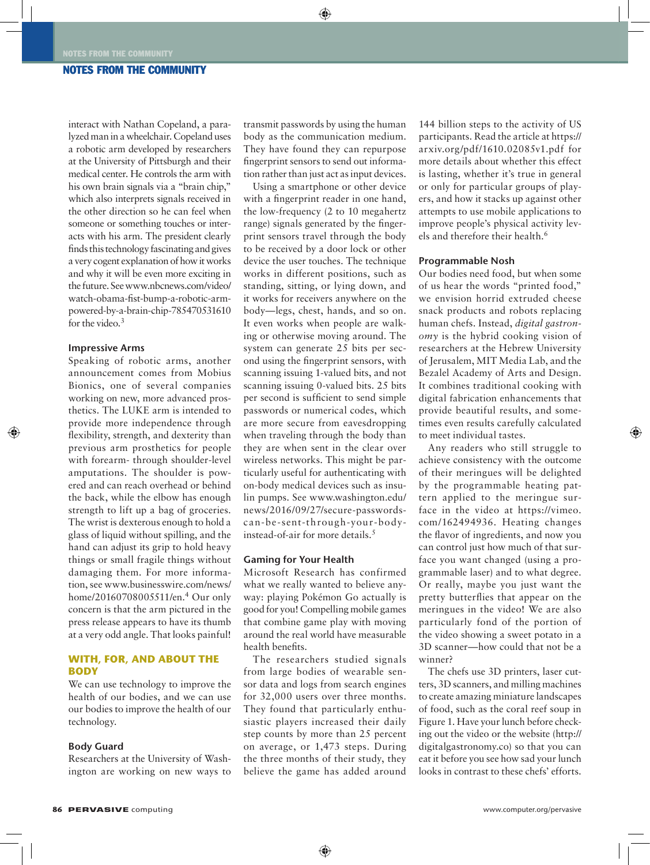## Notes from the Community

interact with Nathan Copeland, a paralyzed man in a wheelchair. Copeland uses a robotic arm developed by researchers at the University of Pittsburgh and their medical center. He controls the arm with his own brain signals via a "brain chip," which also interprets signals received in the other direction so he can feel when someone or something touches or interacts with his arm. The president clearly finds this technology fascinating and gives a very cogent explanation of how it works and why it will be even more exciting in the future. See www.nbcnews.com/video/ watch-obama-fist-bump-a-robotic-armpowered-by-a-brain-chip-785470531610 for the video.<sup>3</sup>

## **Impressive Arms**

Speaking of robotic arms, another announcement comes from Mobius Bionics, one of several companies working on new, more advanced prosthetics. The LUKE arm is intended to provide more independence through flexibility, strength, and dexterity than previous arm prosthetics for people with forearm- through shoulder-level amputations. The shoulder is powered and can reach overhead or behind the back, while the elbow has enough strength to lift up a bag of groceries. The wrist is dexterous enough to hold a glass of liquid without spilling, and the hand can adjust its grip to hold heavy things or small fragile things without damaging them. For more information, see www.businesswire.com/news/ home/20160708005511/en.4 Our only concern is that the arm pictured in the press release appears to have its thumb at a very odd angle. That looks painful!

## **With, for, and about the Body**

We can use technology to improve the health of our bodies, and we can use our bodies to improve the health of our technology.

#### **Body Guard**

Researchers at the University of Washington are working on new ways to

transmit passwords by using the human body as the communication medium. They have found they can repurpose fingerprint sensors to send out information rather than just act as input devices.

Using a smartphone or other device with a fingerprint reader in one hand, the low-frequency (2 to 10 megahertz range) signals generated by the fingerprint sensors travel through the body to be received by a door lock or other device the user touches. The technique works in different positions, such as standing, sitting, or lying down, and it works for receivers anywhere on the body—legs, chest, hands, and so on. It even works when people are walking or otherwise moving around. The system can generate 25 bits per second using the fingerprint sensors, with scanning issuing 1-valued bits, and not scanning issuing 0-valued bits. 25 bits per second is sufficient to send simple passwords or numerical codes, which are more secure from eavesdropping when traveling through the body than they are when sent in the clear over wireless networks. This might be particularly useful for authenticating with on-body medical devices such as insulin pumps. See www.washington.edu/ news/2016/09/27/secure-passwordscan-be-sent-through-your-bodyinstead-of-air for more details.5

#### **Gaming for Your Health**

Microsoft Research has confirmed what we really wanted to believe anyway: playing Pokémon Go actually is good for you! Compelling mobile games that combine game play with moving around the real world have measurable health benefits.

The researchers studied signals from large bodies of wearable sensor data and logs from search engines for 32,000 users over three months. They found that particularly enthusiastic players increased their daily step counts by more than 25 percent on average, or 1,473 steps. During the three months of their study, they believe the game has added around

144 billion steps to the activity of US participants. Read the article at https:// arxiv.org/pdf/1610.02085v1.pdf for more details about whether this effect is lasting, whether it's true in general or only for particular groups of players, and how it stacks up against other attempts to use mobile applications to improve people's physical activity levels and therefore their health.6

#### **Programmable Nosh**

Our bodies need food, but when some of us hear the words "printed food," we envision horrid extruded cheese snack products and robots replacing human chefs. Instead, *digital gastronomy* is the hybrid cooking vision of researchers at the Hebrew University of Jerusalem, MIT Media Lab, and the Bezalel Academy of Arts and Design. It combines traditional cooking with digital fabrication enhancements that provide beautiful results, and sometimes even results carefully calculated to meet individual tastes.

Any readers who still struggle to achieve consistency with the outcome of their meringues will be delighted by the programmable heating pattern applied to the meringue surface in the video at https://vimeo. com/162494936. Heating changes the flavor of ingredients, and now you can control just how much of that surface you want changed (using a programmable laser) and to what degree. Or really, maybe you just want the pretty butterflies that appear on the meringues in the video! We are also particularly fond of the portion of the video showing a sweet potato in a 3D scanner—how could that not be a winner?

The chefs use 3D printers, laser cutters, 3D scanners, and milling machines to create amazing miniature landscapes of food, such as the coral reef soup in Figure 1. Have your lunch before checking out the video or the website (http:// digitalgastronomy.co) so that you can eat it before you see how sad your lunch looks in contrast to these chefs' efforts.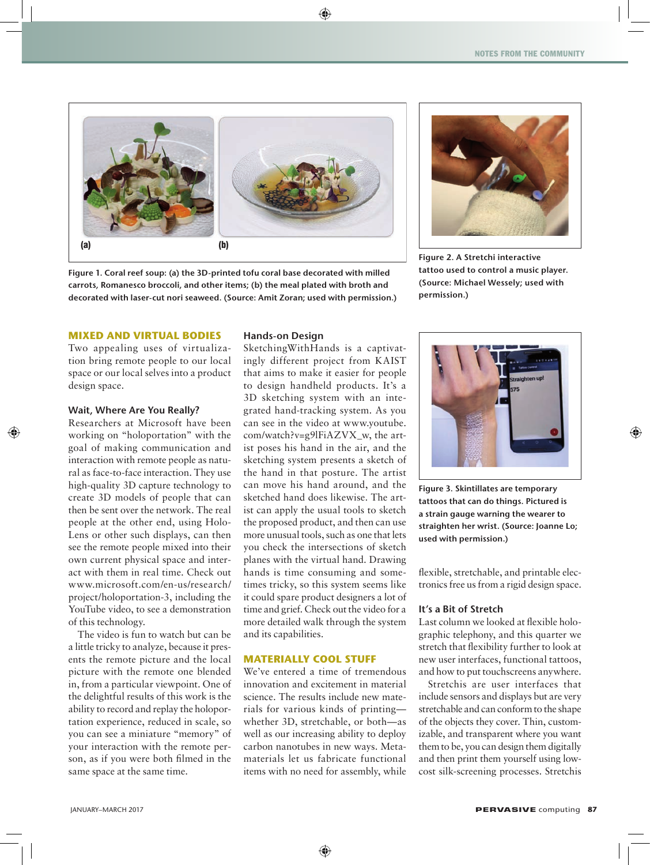

**Figure 1. Coral reef soup: (a) the 3D-printed tofu coral base decorated with milled carrots, Romanesco broccoli, and other items; (b) the meal plated with broth and decorated with laser-cut nori seaweed. (Source: Amit Zoran; used with permission.)**



**Figure 2. A Stretchi interactive tattoo used to control a music player. (Source: Michael Wessely; used with permission.)**

## **Mixed and Virtual Bodies**

Two appealing uses of virtualization bring remote people to our local space or our local selves into a product design space.

#### **Wait, Where Are You Really?**

Researchers at Microsoft have been working on "holoportation" with the goal of making communication and interaction with remote people as natural as face-to-face interaction. They use high-quality 3D capture technology to create 3D models of people that can then be sent over the network. The real people at the other end, using Holo-Lens or other such displays, can then see the remote people mixed into their own current physical space and interact with them in real time. Check out www.microsoft.com/en-us/research/ project/holoportation-3, including the YouTube video, to see a demonstration of this technology.

The video is fun to watch but can be a little tricky to analyze, because it presents the remote picture and the local picture with the remote one blended in, from a particular viewpoint. One of the delightful results of this work is the ability to record and replay the holoportation experience, reduced in scale, so you can see a miniature "memory" of your interaction with the remote person, as if you were both filmed in the same space at the same time.

## **Hands-on Design**

SketchingWithHands is a captivatingly different project from KAIST that aims to make it easier for people to design handheld products. It's a 3D sketching system with an integrated hand-tracking system. As you can see in the video at www.youtube. com/watch?v=g9lFiAZVX\_w, the artist poses his hand in the air, and the sketching system presents a sketch of the hand in that posture. The artist can move his hand around, and the sketched hand does likewise. The artist can apply the usual tools to sketch the proposed product, and then can use more unusual tools, such as one that lets you check the intersections of sketch planes with the virtual hand. Drawing hands is time consuming and sometimes tricky, so this system seems like it could spare product designers a lot of time and grief. Check out the video for a more detailed walk through the system and its capabilities.

## **Materially Cool Stuff**

We've entered a time of tremendous innovation and excitement in material science. The results include new materials for various kinds of printing whether 3D, stretchable, or both—as well as our increasing ability to deploy carbon nanotubes in new ways. Metamaterials let us fabricate functional items with no need for assembly, while



**Figure 3. Skintillates are temporary tattoos that can do things. Pictured is a strain gauge warning the wearer to straighten her wrist. (Source: Joanne Lo; used with permission.)**

flexible, stretchable, and printable electronics free us from a rigid design space.

## **It's a Bit of Stretch**

Last column we looked at flexible holographic telephony, and this quarter we stretch that flexibility further to look at new user interfaces, functional tattoos, and how to put touchscreens anywhere.

Stretchis are user interfaces that include sensors and displays but are very stretchable and can conform to the shape of the objects they cover. Thin, customizable, and transparent where you want them to be, you can design them digitally and then print them yourself using lowcost silk-screening processes. Stretchis